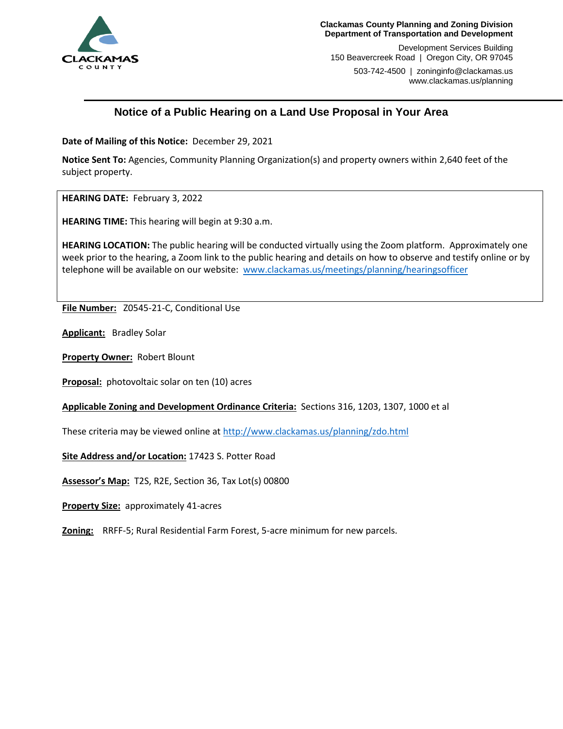

Development Services Building 150 Beavercreek Road | Oregon City, OR 97045

503-742-4500 | zoninginfo@clackamas.us www.clackamas.us/planning

# **Notice of a Public Hearing on a Land Use Proposal in Your Area**

**Date of Mailing of this Notice:** December 29, 2021

**Notice Sent To:** Agencies, Community Planning Organization(s) and property owners within 2,640 feet of the subject property.

**HEARING DATE:** February 3, 2022

**HEARING TIME:** This hearing will begin at 9:30 a.m.

**HEARING LOCATION:** The public hearing will be conducted virtually using the Zoom platform. Approximately one week prior to the hearing, a Zoom link to the public hearing and details on how to observe and testify online or by telephone will be available on our website: [www.clackamas.us/meetings/planning/hearingsofficer](http://www.clackamas.us/meetings/planning/hearingsofficer)

**File Number:** Z0545-21-C, Conditional Use

**Applicant:** Bradley Solar

**Property Owner:** Robert Blount

**Proposal:** photovoltaic solar on ten (10) acres

**Applicable Zoning and Development Ordinance Criteria:** Sections 316, 1203, 1307, 1000 et al

These criteria may be viewed online a[t http://www.clackamas.us/planning/zdo.html](http://www.clackamas.us/planning/zdo.html)

**Site Address and/or Location:** 17423 S. Potter Road

**Assessor's Map:** T2S, R2E, Section 36, Tax Lot(s) 00800

**Property Size:** approximately 41-acres

**Zoning:** RRFF-5; Rural Residential Farm Forest, 5-acre minimum for new parcels.